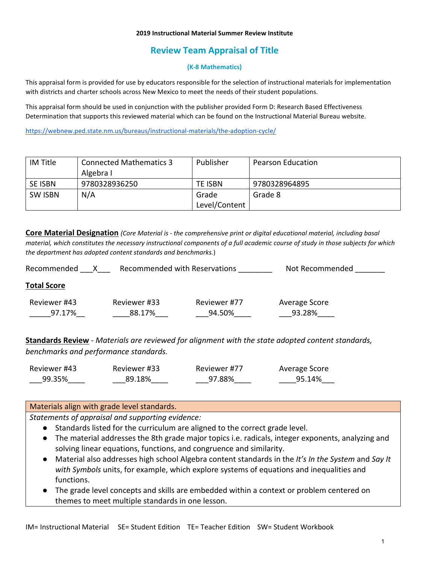#### **2019 Instructional Material Summer Review Institute**

# **Review Team Appraisal of Title**

#### **(K-8 Mathematics)**

This appraisal form is provided for use by educators responsible for the selection of instructional materials for implementation with districts and charter schools across New Mexico to meet the needs of their student populations.

This appraisal form should be used in conjunction with the publisher provided Form D: Research Based Effectiveness Determination that supports this reviewed material which can be found on the Instructional Material Bureau website.

<https://webnew.ped.state.nm.us/bureaus/instructional-materials/the-adoption-cycle/>

| IM Title       | Connected Mathematics 3 | Publisher      | <b>Pearson Education</b> |
|----------------|-------------------------|----------------|--------------------------|
|                | Algebra I               |                |                          |
| <b>SE ISBN</b> | 9780328936250           | <b>TE ISBN</b> | 9780328964895            |
| <b>SW ISBN</b> | N/A                     | Grade          | Grade 8                  |
|                |                         | Level/Content  |                          |

**Core Material Designation** *(Core Material is - the comprehensive print or digital educational material, including basal material, which constitutes the necessary instructional components of a full academic course of study in those subjects for which the department has adopted content standards and benchmarks.*)

| Recommended        |              | Recommended with Reservations | Not Recommended |
|--------------------|--------------|-------------------------------|-----------------|
| <b>Total Score</b> |              |                               |                 |
| Reviewer #43       | Reviewer #33 | Reviewer #77                  | Average Score   |
| 97.17%             | 88.17%       | 94.50%                        | 93.28%          |
|                    |              |                               |                 |

**Standards Review** - *Materials are reviewed for alignment with the state adopted content standards, benchmarks and performance standards.*

| Reviewer #43 | Reviewer #33 | Reviewer #77 | Average Score |
|--------------|--------------|--------------|---------------|
| 99.35%       | 89.18%       | 97.88%       | 95.14%        |

### Materials align with grade level standards.

*Statements of appraisal and supporting evidence:*

- Standards listed for the curriculum are aligned to the correct grade level.
- The material addresses the 8th grade major topics i.e. radicals, integer exponents, analyzing and solving linear equations, functions, and congruence and similarity.
- Material also addresses high school Algebra content standards in the *It's In the System* and *Say It with Symbols* units, for example, which explore systems of equations and inequalities and functions.
- The grade level concepts and skills are embedded within a context or problem centered on themes to meet multiple standards in one lesson.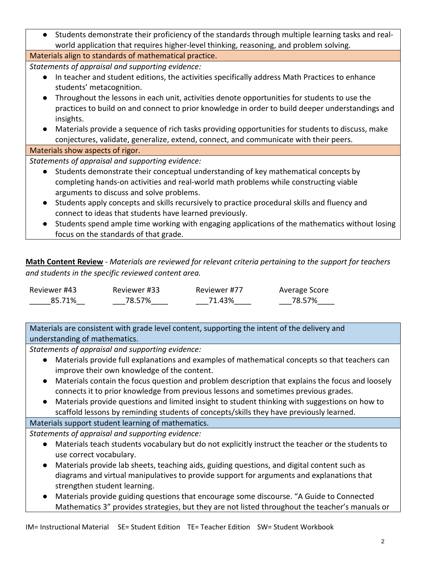| • Students demonstrate their proficiency of the standards through multiple learning tasks and real-                                                     |  |  |  |
|---------------------------------------------------------------------------------------------------------------------------------------------------------|--|--|--|
| world application that requires higher-level thinking, reasoning, and problem solving.                                                                  |  |  |  |
| Materials align to standards of mathematical practice.                                                                                                  |  |  |  |
| Statements of appraisal and supporting evidence:                                                                                                        |  |  |  |
| In teacher and student editions, the activities specifically address Math Practices to enhance<br>students' metacognition.                              |  |  |  |
| Throughout the lessons in each unit, activities denote opportunities for students to use the                                                            |  |  |  |
| practices to build on and connect to prior knowledge in order to build deeper understandings and                                                        |  |  |  |
| insights.                                                                                                                                               |  |  |  |
| Materials provide a sequence of rich tasks providing opportunities for students to discuss, make<br>$\bullet$                                           |  |  |  |
| conjectures, validate, generalize, extend, connect, and communicate with their peers.                                                                   |  |  |  |
| Materials show aspects of rigor.                                                                                                                        |  |  |  |
| Statements of appraisal and supporting evidence:                                                                                                        |  |  |  |
| Students demonstrate their conceptual understanding of key mathematical concepts by<br>$\bullet$                                                        |  |  |  |
| completing hands-on activities and real-world math problems while constructing viable                                                                   |  |  |  |
| arguments to discuss and solve problems.                                                                                                                |  |  |  |
| Students apply concepts and skills recursively to practice procedural skills and fluency and<br>connect to ideas that students have learned previously. |  |  |  |
| Students spend ample time working with engaging applications of the mathematics without losing                                                          |  |  |  |

focus on the standards of that grade.

**Math Content Review** - *Materials are reviewed for relevant criteria pertaining to the support for teachers and students in the specific reviewed content area.*

| Reviewer #43 | Reviewer #33 | Reviewer #77 | Average Score |
|--------------|--------------|--------------|---------------|
| 85.71%       | 78.57%       | 71.43%       | 78.57%        |

Materials are consistent with grade level content, supporting the intent of the delivery and understanding of mathematics.

*Statements of appraisal and supporting evidence:*

- Materials provide full explanations and examples of mathematical concepts so that teachers can improve their own knowledge of the content.
- Materials contain the focus question and problem description that explains the focus and loosely connects it to prior knowledge from previous lessons and sometimes previous grades.
- Materials provide questions and limited insight to student thinking with suggestions on how to scaffold lessons by reminding students of concepts/skills they have previously learned.

## Materials support student learning of mathematics.

*Statements of appraisal and supporting evidence:*

- Materials teach students vocabulary but do not explicitly instruct the teacher or the students to use correct vocabulary.
- Materials provide lab sheets, teaching aids, guiding questions, and digital content such as diagrams and virtual manipulatives to provide support for arguments and explanations that strengthen student learning.
- Materials provide guiding questions that encourage some discourse. "A Guide to Connected Mathematics 3" provides strategies, but they are not listed throughout the teacher's manuals or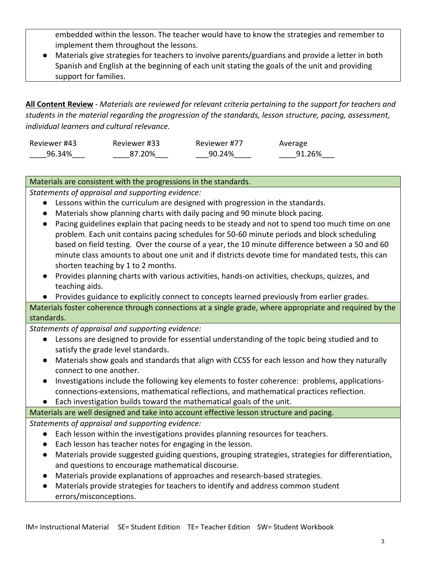embedded within the lesson. The teacher would have to know the strategies and remember to implement them throughout the lessons.

● Materials give strategies for teachers to involve parents/guardians and provide a letter in both Spanish and English at the beginning of each unit stating the goals of the unit and providing support for families.

**All Content Review** - *Materials are reviewed for relevant criteria pertaining to the support for teachers and students in the material regarding the progression of the standards, lesson structure, pacing, assessment, individual learners and cultural relevance.*

| Reviewer #43 | Reviewer #33 | Reviewer #77 | Average |
|--------------|--------------|--------------|---------|
| 96.34%       | 87.20%       | 90.24%       | 91.26%  |

## Materials are consistent with the progressions in the standards.

*Statements of appraisal and supporting evidence:*

- Lessons within the curriculum are designed with progression in the standards.
- Materials show planning charts with daily pacing and 90 minute block pacing.
- Pacing guidelines explain that pacing needs to be steady and not to spend too much time on one problem. Each unit contains pacing schedules for 50-60 minute periods and block scheduling based on field testing. Over the course of a year, the 10 minute difference between a 50 and 60 minute class amounts to about one unit and if districts devote time for mandated tests, this can shorten teaching by 1 to 2 months.
- Provides planning charts with various activities, hands-on activities, checkups, quizzes, and teaching aids.
- Provides guidance to explicitly connect to concepts learned previously from earlier grades.

Materials foster coherence through connections at a single grade, where appropriate and required by the standards.

*Statements of appraisal and supporting evidence:*

- Lessons are designed to provide for essential understanding of the topic being studied and to satisfy the grade level standards.
- Materials show goals and standards that align with CCSS for each lesson and how they naturally connect to one another.
- Investigations include the following key elements to foster coherence: problems, applicationsconnections-extensions, mathematical reflections, and mathematical practices reflection.
- Each investigation builds toward the mathematical goals of the unit.

### Materials are well designed and take into account effective lesson structure and pacing. *Statements of appraisal and supporting evidence:*

- - Each lesson within the investigations provides planning resources for teachers.
	- Each lesson has teacher notes for engaging in the lesson.
	- Materials provide suggested guiding questions, grouping strategies, strategies for differentiation, and questions to encourage mathematical discourse.
	- Materials provide explanations of approaches and research-based strategies.
	- Materials provide strategies for teachers to identify and address common student errors/misconceptions.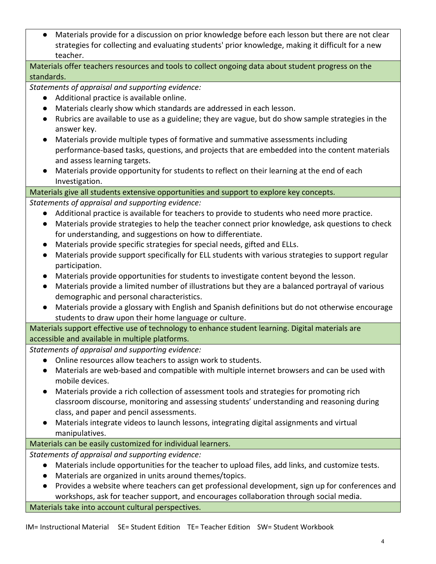● Materials provide for a discussion on prior knowledge before each lesson but there are not clear strategies for collecting and evaluating students' prior knowledge, making it difficult for a new teacher.

# Materials offer teachers resources and tools to collect ongoing data about student progress on the standards.

*Statements of appraisal and supporting evidence:*

- Additional practice is available online.
- Materials clearly show which standards are addressed in each lesson.
- Rubrics are available to use as a guideline; they are vague, but do show sample strategies in the answer key.
- Materials provide multiple types of formative and summative assessments including performance-based tasks, questions, and projects that are embedded into the content materials and assess learning targets.
- Materials provide opportunity for students to reflect on their learning at the end of each Investigation.

## Materials give all students extensive opportunities and support to explore key concepts.

*Statements of appraisal and supporting evidence:*

- Additional practice is available for teachers to provide to students who need more practice.
- Materials provide strategies to help the teacher connect prior knowledge, ask questions to check for understanding, and suggestions on how to differentiate.
- Materials provide specific strategies for special needs, gifted and ELLs.
- Materials provide support specifically for ELL students with various strategies to support regular participation.
- Materials provide opportunities for students to investigate content beyond the lesson.
- Materials provide a limited number of illustrations but they are a balanced portrayal of various demographic and personal characteristics.
- Materials provide a glossary with English and Spanish definitions but do not otherwise encourage students to draw upon their home language or culture.

Materials support effective use of technology to enhance student learning. Digital materials are accessible and available in multiple platforms.

*Statements of appraisal and supporting evidence:*

- Online resources allow teachers to assign work to students.
- Materials are web-based and compatible with multiple internet browsers and can be used with mobile devices.
- Materials provide a rich collection of assessment tools and strategies for promoting rich classroom discourse, monitoring and assessing students' understanding and reasoning during class, and paper and pencil assessments.
- Materials integrate videos to launch lessons, integrating digital assignments and virtual manipulatives.

# Materials can be easily customized for individual learners.

*Statements of appraisal and supporting evidence:*

- Materials include opportunities for the teacher to upload files, add links, and customize tests.
- Materials are organized in units around themes/topics.
- Provides a website where teachers can get professional development, sign up for conferences and workshops, ask for teacher support, and encourages collaboration through social media.

Materials take into account cultural perspectives.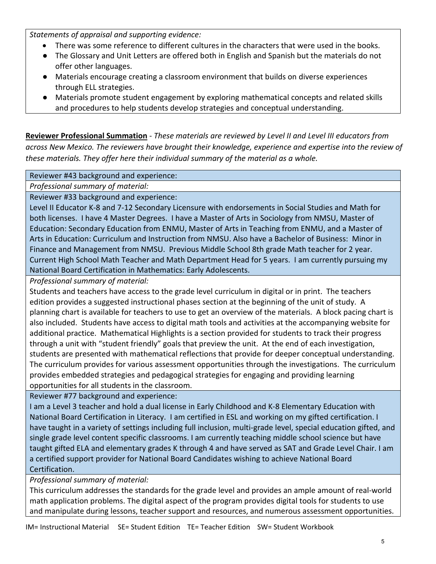*Statements of appraisal and supporting evidence:*

- There was some reference to different cultures in the characters that were used in the books.
- The Glossary and Unit Letters are offered both in English and Spanish but the materials do not offer other languages.
- Materials encourage creating a classroom environment that builds on diverse experiences through ELL strategies.
- Materials promote student engagement by exploring mathematical concepts and related skills and procedures to help students develop strategies and conceptual understanding.

**Reviewer Professional Summation** - *These materials are reviewed by Level II and Level III educators from across New Mexico. The reviewers have brought their knowledge, experience and expertise into the review of these materials. They offer here their individual summary of the material as a whole.* 

## Reviewer #43 background and experience:

*Professional summary of material:*

Reviewer #33 background and experience:

Level II Educator K-8 and 7-12 Secondary Licensure with endorsements in Social Studies and Math for both licenses. I have 4 Master Degrees. I have a Master of Arts in Sociology from NMSU, Master of Education: Secondary Education from ENMU, Master of Arts in Teaching from ENMU, and a Master of Arts in Education: Curriculum and Instruction from NMSU. Also have a Bachelor of Business: Minor in Finance and Management from NMSU. Previous Middle School 8th grade Math teacher for 2 year. Current High School Math Teacher and Math Department Head for 5 years. I am currently pursuing my National Board Certification in Mathematics: Early Adolescents.

*Professional summary of material:*

Students and teachers have access to the grade level curriculum in digital or in print. The teachers edition provides a suggested instructional phases section at the beginning of the unit of study. A planning chart is available for teachers to use to get an overview of the materials. A block pacing chart is also included. Students have access to digital math tools and activities at the accompanying website for additional practice. Mathematical Highlights is a section provided for students to track their progress through a unit with "student friendly" goals that preview the unit. At the end of each investigation, students are presented with mathematical reflections that provide for deeper conceptual understanding. The curriculum provides for various assessment opportunities through the investigations. The curriculum provides embedded strategies and pedagogical strategies for engaging and providing learning opportunities for all students in the classroom.

Reviewer #77 background and experience:

I am a Level 3 teacher and hold a dual license in Early Childhood and K-8 Elementary Education with National Board Certification in Literacy. I am certified in ESL and working on my gifted certification. I have taught in a variety of settings including full inclusion, multi-grade level, special education gifted, and single grade level content specific classrooms. I am currently teaching middle school science but have taught gifted ELA and elementary grades K through 4 and have served as SAT and Grade Level Chair. I am a certified support provider for National Board Candidates wishing to achieve National Board Certification.

*Professional summary of material:*

This curriculum addresses the standards for the grade level and provides an ample amount of real-world math application problems. The digital aspect of the program provides digital tools for students to use and manipulate during lessons, teacher support and resources, and numerous assessment opportunities.

IM= Instructional Material SE= Student Edition TE= Teacher Edition SW= Student Workbook